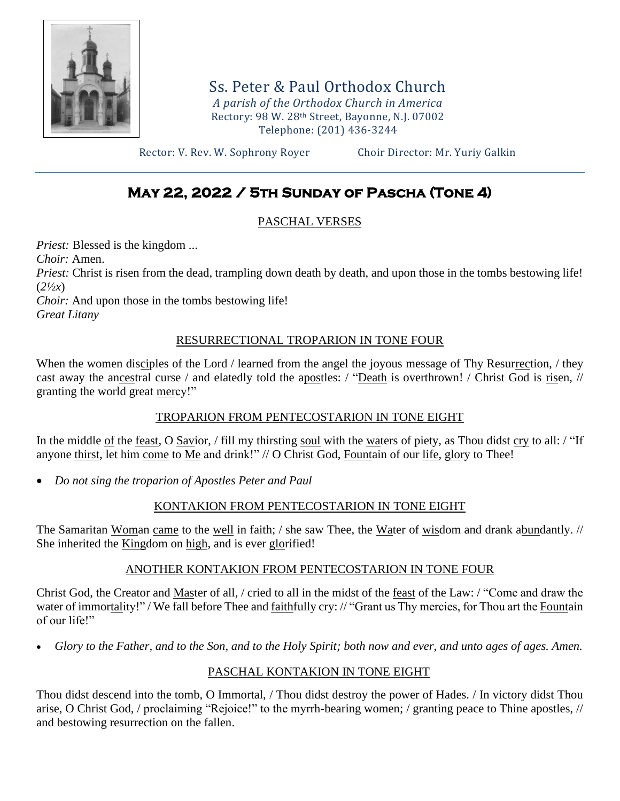

Ss. Peter & Paul Orthodox Church *A parish of the Orthodox Church in America* Rectory: 98 W. 28th Street, Bayonne, N.J. 07002 Telephone: (201) 436-3244

Rector: V. Rev. W. Sophrony Royer Choir Director: Mr. Yuriy Galkin

## **May 22, 2022 / 5th Sunday of Pascha (Tone 4)**

## PASCHAL VERSES

*Priest:* Blessed is the kingdom ... *Choir:* Amen. *Priest:* Christ is risen from the dead, trampling down death by death, and upon those in the tombs bestowing life! (*2½x*) *Choir:* And upon those in the tombs bestowing life! *Great Litany*

## RESURRECTIONAL TROPARION IN TONE FOUR

When the women disciples of the Lord / learned from the angel the joyous message of Thy Resurrection, / they cast away the ancestral curse / and elatedly told the apostles: / "Death is overthrown! / Christ God is risen, // granting the world great mercy!"

## TROPARION FROM PENTECOSTARION IN TONE EIGHT

In the middle of the feast, O Savior, / fill my thirsting soul with the waters of piety, as Thou didst cry to all: / "If anyone thirst, let him come to Me and drink!" // O Christ God, Fountain of our life, glory to Thee!

• *Do not sing the troparion of Apostles Peter and Paul*

## KONTAKION FROM PENTECOSTARION IN TONE EIGHT

The Samaritan Woman came to the well in faith; / she saw Thee, the Water of wisdom and drank abundantly. // She inherited the Kingdom on high, and is ever glorified!

## ANOTHER KONTAKION FROM PENTECOSTARION IN TONE FOUR

Christ God, the Creator and Master of all, / cried to all in the midst of the feast of the Law: / "Come and draw the water of immortality!" / We fall before Thee and faithfully cry: // "Grant us Thy mercies, for Thou art the Fountain of our life!"

• *Glory to the Father, and to the Son, and to the Holy Spirit; both now and ever, and unto ages of ages. Amen.*

## PASCHAL KONTAKION IN TONE EIGHT

Thou didst descend into the tomb, O Immortal, / Thou didst destroy the power of Hades. / In victory didst Thou arise, O Christ God, / proclaiming "Rejoice!" to the myrrh-bearing women; / granting peace to Thine apostles, // and bestowing resurrection on the fallen.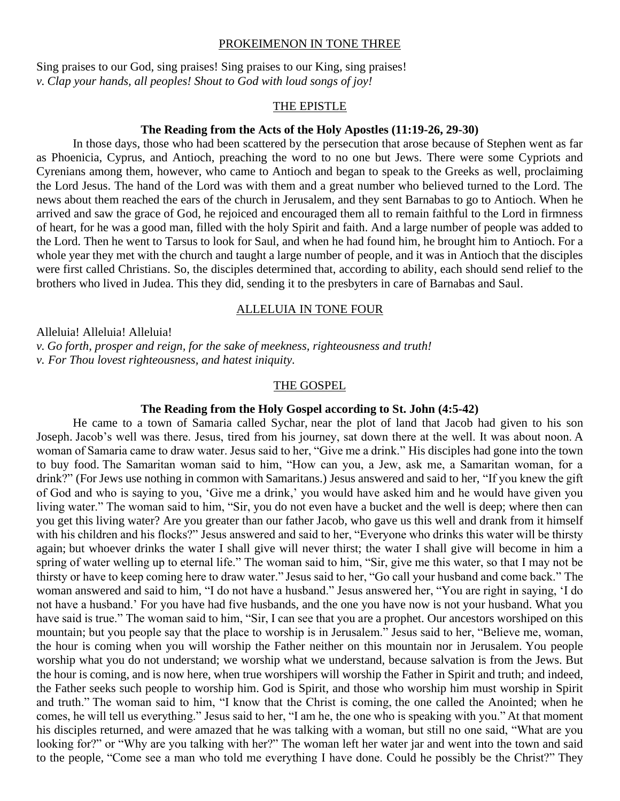#### PROKEIMENON IN TONE THREE

Sing praises to our God, sing praises! Sing praises to our King, sing praises! *v. Clap your hands, all peoples! Shout to God with loud songs of joy!*

#### THE EPISTLE

#### **The Reading from the Acts of the Holy Apostles (11:19-26, 29-30)**

In those days, those who had been scattered by the persecution that arose because of Stephen went as far as Phoenicia, Cyprus, and Antioch, preaching the word to no one but Jews. There were some Cypriots and Cyrenians among them, however, who came to Antioch and began to speak to the Greeks as well, proclaiming the Lord Jesus. The hand of the Lord was with them and a great number who believed turned to the Lord. The news about them reached the ears of the church in Jerusalem, and they sent Barnabas to go to Antioch. When he arrived and saw the grace of God, he rejoiced and encouraged them all to remain faithful to the Lord in firmness of heart, for he was a good man, filled with the holy Spirit and faith. And a large number of people was added to the Lord. Then he went to Tarsus to look for Saul, and when he had found him, he brought him to Antioch. For a whole year they met with the church and taught a large number of people, and it was in Antioch that the disciples were first called Christians. So, the disciples determined that, according to ability, each should send relief to the brothers who lived in Judea. This they did, sending it to the presbyters in care of Barnabas and Saul.

#### ALLELUIA IN TONE FOUR

Alleluia! Alleluia! Alleluia! *v. Go forth, prosper and reign, for the sake of meekness, righteousness and truth! v. For Thou lovest righteousness, and hatest iniquity.*

#### THE GOSPEL

#### **The Reading from the Holy Gospel according to St. John (4:5-42)**

He came to a town of Samaria called Sychar, near the plot of land that Jacob had given to his son Joseph. Jacob's well was there. Jesus, tired from his journey, sat down there at the well. It was about noon. A woman of Samaria came to draw water. Jesus said to her, "Give me a drink." His disciples had gone into the town to buy food. The Samaritan woman said to him, "How can you, a Jew, ask me, a Samaritan woman, for a drink?" (For Jews use nothing in common with Samaritans.) Jesus answered and said to her, "If you knew the gift of God and who is saying to you, 'Give me a drink,' you would have asked him and he would have given you living water." The woman said to him, "Sir, you do not even have a bucket and the well is deep; where then can you get this living water? Are you greater than our father Jacob, who gave us this well and drank from it himself with his children and his flocks?" Jesus answered and said to her, "Everyone who drinks this water will be thirsty again; but whoever drinks the water I shall give will never thirst; the water I shall give will become in him a spring of water welling up to eternal life." The woman said to him, "Sir, give me this water, so that I may not be thirsty or have to keep coming here to draw water." Jesus said to her, "Go call your husband and come back." The woman answered and said to him, "I do not have a husband." Jesus answered her, "You are right in saying, 'I do not have a husband.' For you have had five husbands, and the one you have now is not your husband. What you have said is true." The woman said to him, "Sir, I can see that you are a prophet. Our ancestors worshiped on this mountain; but you people say that the place to worship is in Jerusalem." Jesus said to her, "Believe me, woman, the hour is coming when you will worship the Father neither on this mountain nor in Jerusalem. You people worship what you do not understand; we worship what we understand, because salvation is from the Jews. But the hour is coming, and is now here, when true worshipers will worship the Father in Spirit and truth; and indeed, the Father seeks such people to worship him. God is Spirit, and those who worship him must worship in Spirit and truth." The woman said to him, "I know that the Christ is coming, the one called the Anointed; when he comes, he will tell us everything." Jesus said to her, "I am he, the one who is speaking with you." At that moment his disciples returned, and were amazed that he was talking with a woman, but still no one said, "What are you looking for?" or "Why are you talking with her?" The woman left her water jar and went into the town and said to the people, "Come see a man who told me everything I have done. Could he possibly be the Christ?" They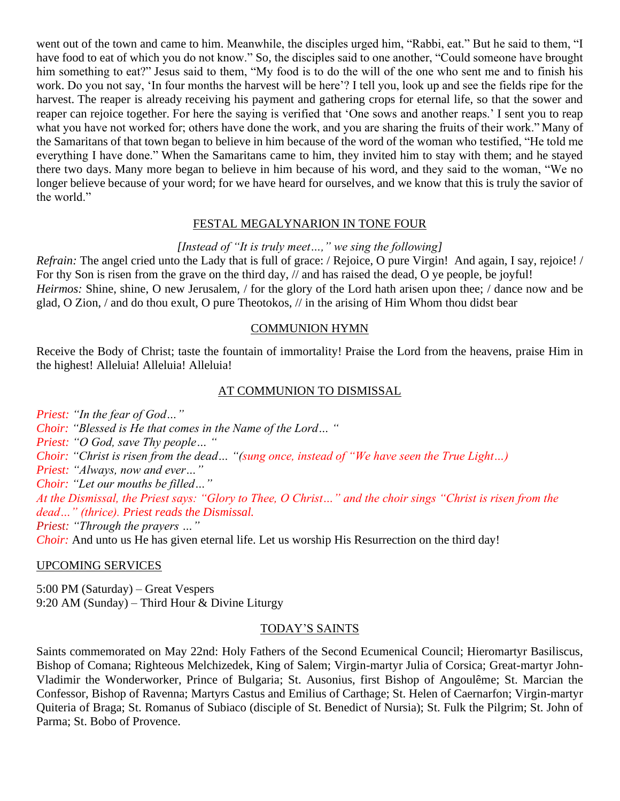went out of the town and came to him. Meanwhile, the disciples urged him, "Rabbi, eat." But he said to them, "I have food to eat of which you do not know." So, the disciples said to one another, "Could someone have brought him something to eat?" Jesus said to them, "My food is to do the will of the one who sent me and to finish his work. Do you not say, 'In four months the harvest will be here'? I tell you, look up and see the fields ripe for the harvest. The reaper is already receiving his payment and gathering crops for eternal life, so that the sower and reaper can rejoice together. For here the saying is verified that 'One sows and another reaps.' I sent you to reap what you have not worked for; others have done the work, and you are sharing the fruits of their work." Many of the Samaritans of that town began to believe in him because of the word of the woman who testified, "He told me everything I have done." When the Samaritans came to him, they invited him to stay with them; and he stayed there two days. Many more began to believe in him because of his word, and they said to the woman, "We no longer believe because of your word; for we have heard for ourselves, and we know that this is truly the savior of the world."

#### FESTAL MEGALYNARION IN TONE FOUR

#### *[Instead of "It is truly meet…," we sing the following]*

*Refrain:* The angel cried unto the Lady that is full of grace: / Rejoice, O pure Virgin! And again, I say, rejoice! / For thy Son is risen from the grave on the third day, // and has raised the dead, O ye people, be joyful! *Heirmos:* Shine, shine, O new Jerusalem, / for the glory of the Lord hath arisen upon thee; / dance now and be glad, O Zion, / and do thou exult, O pure Theotokos, // in the arising of Him Whom thou didst bear

#### COMMUNION HYMN

Receive the Body of Christ; taste the fountain of immortality! Praise the Lord from the heavens, praise Him in the highest! Alleluia! Alleluia! Alleluia!

#### AT COMMUNION TO DISMISSAL

*Priest: "In the fear of God…"*

*Choir: "Blessed is He that comes in the Name of the Lord… "*

*Priest: "O God, save Thy people… "*

*Choir: "Christ is risen from the dead… "(sung once, instead of "We have seen the True Light…)*

*Priest: "Always, now and ever…"*

*Choir: "Let our mouths be filled…"*

*At the Dismissal, the Priest says: "Glory to Thee, O Christ…" and the choir sings "Christ is risen from the dead…" (thrice). Priest reads the Dismissal.*

*Priest: "Through the prayers …"*

*Choir*: And unto us He has given eternal life. Let us worship His Resurrection on the third day!

#### UPCOMING SERVICES

5:00 PM (Saturday) – Great Vespers 9:20 AM (Sunday) – Third Hour & Divine Liturgy

#### TODAY'S SAINTS

Saints commemorated on May 22nd: Holy Fathers of the Second Ecumenical Council; Hieromartyr Basiliscus, Bishop of Comana; Righteous Melchizedek, King of Salem; Virgin-martyr Julia of Corsica; Great-martyr John-Vladimir the Wonderworker, Prince of Bulgaria; St. Ausonius, first Bishop of Angoulême; St. Marcian the Confessor, Bishop of Ravenna; Martyrs Castus and Emilius of Carthage; St. Helen of Caernarfon; Virgin-martyr Quiteria of Braga; St. Romanus of Subiaco (disciple of St. Benedict of Nursia); St. Fulk the Pilgrim; St. John of Parma; St. Bobo of Provence.